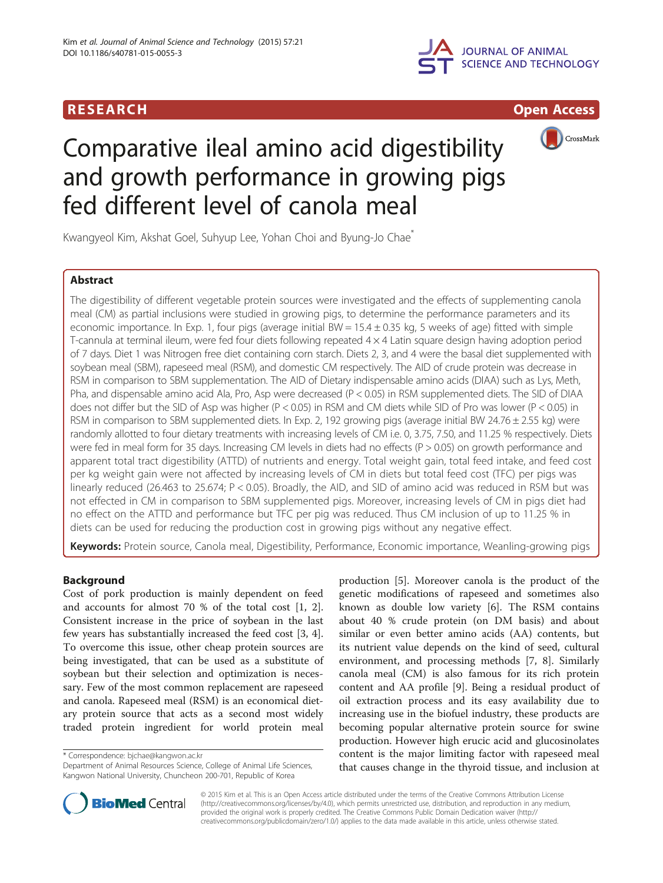





# Comparative ileal amino acid digestibility and growth performance in growing pigs fed different level of canola meal

Kwangyeol Kim, Akshat Goel, Suhyup Lee, Yohan Choi and Byung-Jo Chae\*

# Abstract

The digestibility of different vegetable protein sources were investigated and the effects of supplementing canola meal (CM) as partial inclusions were studied in growing pigs, to determine the performance parameters and its economic importance. In Exp. 1, four pigs (average initial BW =  $15.4 \pm 0.35$  kg, 5 weeks of age) fitted with simple T-cannula at terminal ileum, were fed four diets following repeated 4 × 4 Latin square design having adoption period of 7 days. Diet 1 was Nitrogen free diet containing corn starch. Diets 2, 3, and 4 were the basal diet supplemented with soybean meal (SBM), rapeseed meal (RSM), and domestic CM respectively. The AID of crude protein was decrease in RSM in comparison to SBM supplementation. The AID of Dietary indispensable amino acids (DIAA) such as Lys, Meth, Pha, and dispensable amino acid Ala, Pro, Asp were decreased (P < 0.05) in RSM supplemented diets. The SID of DIAA does not differ but the SID of Asp was higher (P < 0.05) in RSM and CM diets while SID of Pro was lower (P < 0.05) in RSM in comparison to SBM supplemented diets. In Exp. 2, 192 growing pigs (average initial BW 24.76  $\pm$  2.55 kg) were randomly allotted to four dietary treatments with increasing levels of CM i.e. 0, 3.75, 7.50, and 11.25 % respectively. Diets were fed in meal form for 35 days. Increasing CM levels in diets had no effects (P > 0.05) on growth performance and apparent total tract digestibility (ATTD) of nutrients and energy. Total weight gain, total feed intake, and feed cost per kg weight gain were not affected by increasing levels of CM in diets but total feed cost (TFC) per pigs was linearly reduced (26.463 to 25.674; P < 0.05). Broadly, the AID, and SID of amino acid was reduced in RSM but was not effected in CM in comparison to SBM supplemented pigs. Moreover, increasing levels of CM in pigs diet had no effect on the ATTD and performance but TFC per pig was reduced. Thus CM inclusion of up to 11.25 % in diets can be used for reducing the production cost in growing pigs without any negative effect.

Keywords: Protein source, Canola meal, Digestibility, Performance, Economic importance, Weanling-growing pigs

# Background

Cost of pork production is mainly dependent on feed and accounts for almost 70 % of the total cost [[1, 2](#page-6-0)]. Consistent increase in the price of soybean in the last few years has substantially increased the feed cost [[3, 4](#page-6-0)]. To overcome this issue, other cheap protein sources are being investigated, that can be used as a substitute of soybean but their selection and optimization is necessary. Few of the most common replacement are rapeseed and canola. Rapeseed meal (RSM) is an economical dietary protein source that acts as a second most widely traded protein ingredient for world protein meal

\* Correspondence: [bjchae@kangwon.ac.kr](mailto:bjchae@kangwon.ac.kr)

production [[5\]](#page-6-0). Moreover canola is the product of the genetic modifications of rapeseed and sometimes also known as double low variety [\[6\]](#page-6-0). The RSM contains about 40 % crude protein (on DM basis) and about similar or even better amino acids (AA) contents, but its nutrient value depends on the kind of seed, cultural environment, and processing methods [\[7](#page-6-0), [8](#page-6-0)]. Similarly canola meal (CM) is also famous for its rich protein content and AA profile [[9\]](#page-6-0). Being a residual product of oil extraction process and its easy availability due to increasing use in the biofuel industry, these products are becoming popular alternative protein source for swine production. However high erucic acid and glucosinolates content is the major limiting factor with rapeseed meal that causes change in the thyroid tissue, and inclusion at



© 2015 Kim et al. This is an Open Access article distributed under the terms of the Creative Commons Attribution License [\(http://creativecommons.org/licenses/by/4.0\)](http://creativecommons.org/licenses/by/4.0), which permits unrestricted use, distribution, and reproduction in any medium, provided the original work is properly credited. The Creative Commons Public Domain Dedication waiver [\(http://](http://creativecommons.org/publicdomain/zero/1.0/) [creativecommons.org/publicdomain/zero/1.0/\)](http://creativecommons.org/publicdomain/zero/1.0/) applies to the data made available in this article, unless otherwise stated.

Department of Animal Resources Science, College of Animal Life Sciences, Kangwon National University, Chuncheon 200-701, Republic of Korea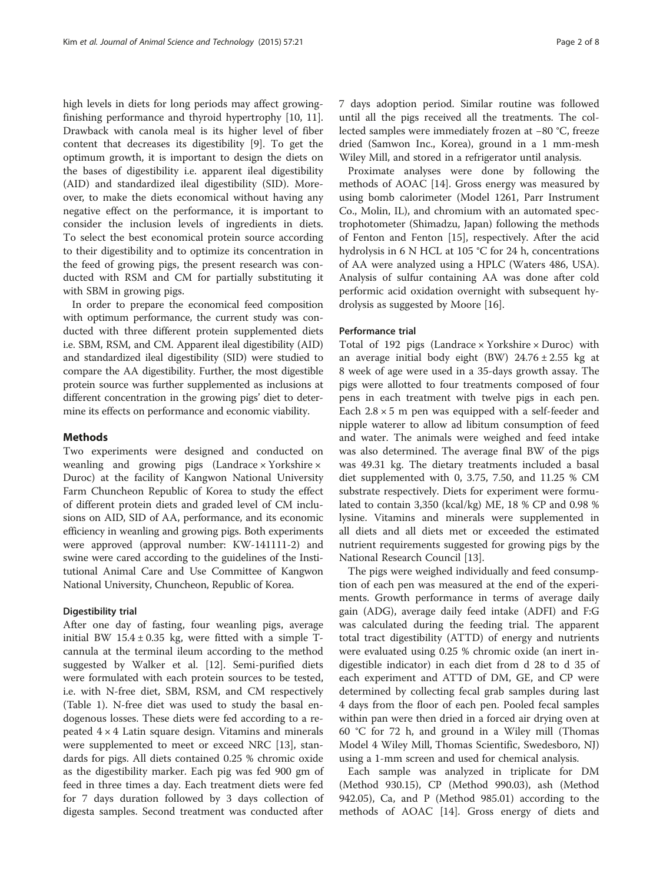high levels in diets for long periods may affect growingfinishing performance and thyroid hypertrophy [[10, 11](#page-6-0)]. Drawback with canola meal is its higher level of fiber content that decreases its digestibility [[9\]](#page-6-0). To get the optimum growth, it is important to design the diets on the bases of digestibility i.e. apparent ileal digestibility (AID) and standardized ileal digestibility (SID). Moreover, to make the diets economical without having any negative effect on the performance, it is important to consider the inclusion levels of ingredients in diets. To select the best economical protein source according to their digestibility and to optimize its concentration in the feed of growing pigs, the present research was conducted with RSM and CM for partially substituting it with SBM in growing pigs.

In order to prepare the economical feed composition with optimum performance, the current study was conducted with three different protein supplemented diets i.e. SBM, RSM, and CM. Apparent ileal digestibility (AID) and standardized ileal digestibility (SID) were studied to compare the AA digestibility. Further, the most digestible protein source was further supplemented as inclusions at different concentration in the growing pigs' diet to determine its effects on performance and economic viability.

# Methods

Two experiments were designed and conducted on weanling and growing pigs (Landrace  $\times$  Yorkshire  $\times$ Duroc) at the facility of Kangwon National University Farm Chuncheon Republic of Korea to study the effect of different protein diets and graded level of CM inclusions on AID, SID of AA, performance, and its economic efficiency in weanling and growing pigs. Both experiments were approved (approval number: KW-141111-2) and swine were cared according to the guidelines of the Institutional Animal Care and Use Committee of Kangwon National University, Chuncheon, Republic of Korea.

# Digestibility trial

After one day of fasting, four weanling pigs, average initial BW  $15.4 \pm 0.35$  kg, were fitted with a simple Tcannula at the terminal ileum according to the method suggested by Walker et al. [[12\]](#page-6-0). Semi-purified diets were formulated with each protein sources to be tested, i.e. with N-free diet, SBM, RSM, and CM respectively (Table [1\)](#page-2-0). N-free diet was used to study the basal endogenous losses. These diets were fed according to a repeated  $4 \times 4$  Latin square design. Vitamins and minerals were supplemented to meet or exceed NRC [[13\]](#page-6-0), standards for pigs. All diets contained 0.25 % chromic oxide as the digestibility marker. Each pig was fed 900 gm of feed in three times a day. Each treatment diets were fed for 7 days duration followed by 3 days collection of digesta samples. Second treatment was conducted after 7 days adoption period. Similar routine was followed until all the pigs received all the treatments. The collected samples were immediately frozen at −80 °C, freeze dried (Samwon Inc., Korea), ground in a 1 mm-mesh Wiley Mill, and stored in a refrigerator until analysis.

Proximate analyses were done by following the methods of AOAC [\[14](#page-6-0)]. Gross energy was measured by using bomb calorimeter (Model 1261, Parr Instrument Co., Molin, IL), and chromium with an automated spectrophotometer (Shimadzu, Japan) following the methods of Fenton and Fenton [[15\]](#page-6-0), respectively. After the acid hydrolysis in 6 N HCL at 105 °C for 24 h, concentrations of AA were analyzed using a HPLC (Waters 486, USA). Analysis of sulfur containing AA was done after cold performic acid oxidation overnight with subsequent hydrolysis as suggested by Moore [\[16](#page-6-0)].

### Performance trial

Total of 192 pigs (Landrace  $\times$  Yorkshire  $\times$  Duroc) with an average initial body eight (BW)  $24.76 \pm 2.55$  kg at 8 week of age were used in a 35-days growth assay. The pigs were allotted to four treatments composed of four pens in each treatment with twelve pigs in each pen. Each  $2.8 \times 5$  m pen was equipped with a self-feeder and nipple waterer to allow ad libitum consumption of feed and water. The animals were weighed and feed intake was also determined. The average final BW of the pigs was 49.31 kg. The dietary treatments included a basal diet supplemented with 0, 3.75, 7.50, and 11.25 % CM substrate respectively. Diets for experiment were formulated to contain 3,350 (kcal/kg) ME, 18 % CP and 0.98 % lysine. Vitamins and minerals were supplemented in all diets and all diets met or exceeded the estimated nutrient requirements suggested for growing pigs by the National Research Council [\[13](#page-6-0)].

The pigs were weighed individually and feed consumption of each pen was measured at the end of the experiments. Growth performance in terms of average daily gain (ADG), average daily feed intake (ADFI) and F:G was calculated during the feeding trial. The apparent total tract digestibility (ATTD) of energy and nutrients were evaluated using 0.25 % chromic oxide (an inert indigestible indicator) in each diet from d 28 to d 35 of each experiment and ATTD of DM, GE, and CP were determined by collecting fecal grab samples during last 4 days from the floor of each pen. Pooled fecal samples within pan were then dried in a forced air drying oven at 60 °C for 72 h, and ground in a Wiley mill (Thomas Model 4 Wiley Mill, Thomas Scientific, Swedesboro, NJ) using a 1-mm screen and used for chemical analysis.

Each sample was analyzed in triplicate for DM (Method 930.15), CP (Method 990.03), ash (Method 942.05), Ca, and P (Method 985.01) according to the methods of AOAC [\[14](#page-6-0)]. Gross energy of diets and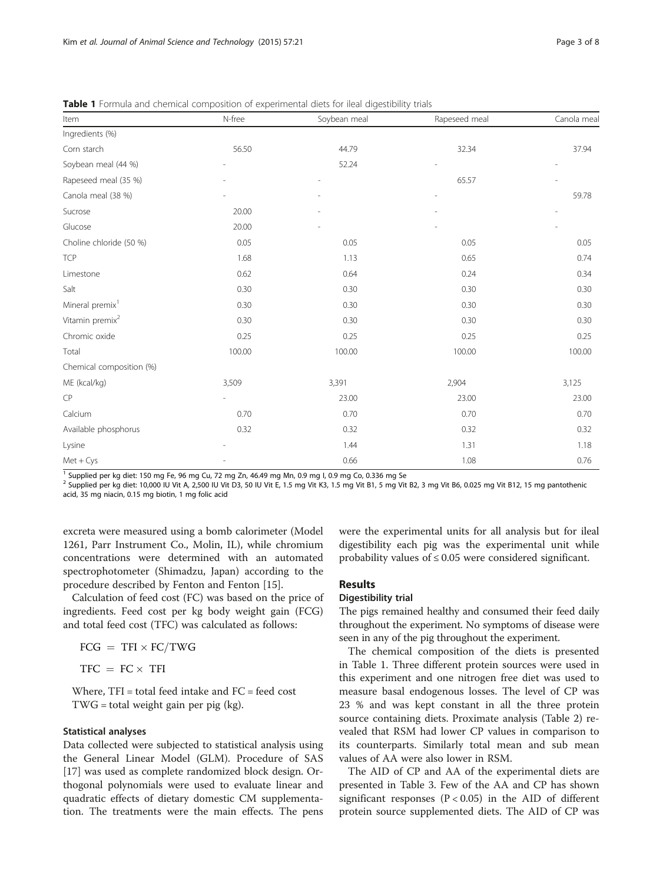| Item                        | N-free<br>Soybean meal |        | Rapeseed meal | Canola meal |
|-----------------------------|------------------------|--------|---------------|-------------|
| Ingredients (%)             |                        |        |               |             |
| Corn starch                 | 56.50                  | 44.79  | 32.34         | 37.94       |
| Soybean meal (44 %)         |                        | 52.24  |               |             |
| Rapeseed meal (35 %)        |                        |        | 65.57         |             |
| Canola meal (38 %)          |                        |        |               | 59.78       |
| Sucrose                     | 20.00                  |        |               |             |
| Glucose                     | 20.00                  |        |               |             |
| Choline chloride (50 %)     | 0.05                   | 0.05   | 0.05          | 0.05        |
| <b>TCP</b>                  | 1.68                   | 1.13   | 0.65          | 0.74        |
| Limestone                   | 0.62                   | 0.64   | 0.24          | 0.34        |
| Salt                        | 0.30                   | 0.30   | 0.30          | 0.30        |
| Mineral premix <sup>1</sup> | 0.30                   | 0.30   | 0.30          | 0.30        |
| Vitamin premix <sup>2</sup> | 0.30                   | 0.30   | 0.30          | 0.30        |
| Chromic oxide               | 0.25                   | 0.25   | 0.25          | 0.25        |
| Total                       | 100.00                 | 100.00 | 100.00        | 100.00      |
| Chemical composition (%)    |                        |        |               |             |
| ME (kcal/kg)                | 3,509                  | 3,391  | 2,904         | 3,125       |
| CP                          |                        | 23.00  | 23.00         | 23.00       |
| Calcium                     | 0.70                   | 0.70   | 0.70          | 0.70        |
| Available phosphorus        | 0.32                   | 0.32   | 0.32          | 0.32        |
| Lysine                      |                        | 1.44   | 1.31          | 1.18        |
| $Met + Cys$                 |                        | 0.66   | 1.08          | 0.76        |

<span id="page-2-0"></span>Table 1 Formula and chemical composition of experimental diets for ileal digestibility trials

<sup>1</sup> Supplied per kg diet: 150 mg Fe, 96 mg Cu, 72 mg Zn, 46.49 mg Mn, 0.9 mg I, 0.9 mg Co, 0.336 mg Se

<sup>2</sup> Supplied per kg diet: 10,000 IU Vit A, 2,500 IU Vit D3, 50 IU Vit E, 1.5 mg Vit K3, 1.5 mg Vit B1, 5 mg Vit B2, 3 mg Vit B6, 0.025 mg Vit B12, 15 mg pantothenic acid, 35 mg niacin, 0.15 mg biotin, 1 mg folic acid

excreta were measured using a bomb calorimeter (Model 1261, Parr Instrument Co., Molin, IL), while chromium concentrations were determined with an automated spectrophotometer (Shimadzu, Japan) according to the procedure described by Fenton and Fenton [\[15](#page-6-0)].

Calculation of feed cost (FC) was based on the price of ingredients. Feed cost per kg body weight gain (FCG) and total feed cost (TFC) was calculated as follows:

$$
FCG = TFI \times FC/TWG
$$

$$
TFC = FC \times TFI
$$

Where, TFI = total feed intake and FC = feed cost TWG = total weight gain per pig (kg).

## Statistical analyses

Data collected were subjected to statistical analysis using the General Linear Model (GLM). Procedure of SAS [[17\]](#page-6-0) was used as complete randomized block design. Orthogonal polynomials were used to evaluate linear and quadratic effects of dietary domestic CM supplementation. The treatments were the main effects. The pens were the experimental units for all analysis but for ileal digestibility each pig was the experimental unit while probability values of  $\leq 0.05$  were considered significant.

### Results

# Digestibility trial

The pigs remained healthy and consumed their feed daily throughout the experiment. No symptoms of disease were seen in any of the pig throughout the experiment.

The chemical composition of the diets is presented in Table 1. Three different protein sources were used in this experiment and one nitrogen free diet was used to measure basal endogenous losses. The level of CP was 23 % and was kept constant in all the three protein source containing diets. Proximate analysis (Table [2](#page-3-0)) revealed that RSM had lower CP values in comparison to its counterparts. Similarly total mean and sub mean values of AA were also lower in RSM.

The AID of CP and AA of the experimental diets are presented in Table [3.](#page-3-0) Few of the AA and CP has shown significant responses ( $P < 0.05$ ) in the AID of different protein source supplemented diets. The AID of CP was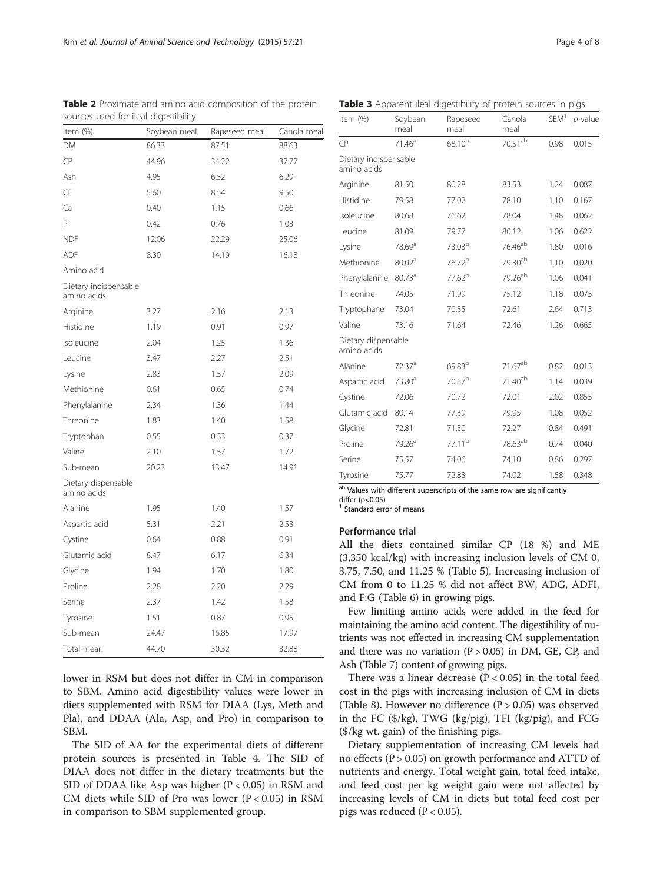|                                      | ncar argestionity |               |             |
|--------------------------------------|-------------------|---------------|-------------|
| Item (%)                             | Soybean meal      | Rapeseed meal | Canola meal |
| DM                                   | 86.33             | 87.51         | 88.63       |
| CP                                   | 44.96             | 34.22         | 37.77       |
| Ash                                  | 4.95              | 6.52          | 6.29        |
| CF                                   | 5.60              | 8.54          | 9.50        |
| Ca                                   | 0.40              | 1.15          | 0.66        |
| P                                    | 0.42              | 0.76          | 1.03        |
| <b>NDF</b>                           | 12.06             | 22.29         | 25.06       |
| ADF                                  | 8.30              | 14.19         | 16.18       |
| Amino acid                           |                   |               |             |
| Dietary indispensable<br>amino acids |                   |               |             |
| Arginine                             | 3.27              | 2.16          | 2.13        |
| Histidine                            | 1.19              | 0.91          | 0.97        |
| Isoleucine                           | 2.04              | 1.25          | 1.36        |
| Leucine                              | 3.47              | 2.27          | 2.51        |
| Lysine                               | 2.83              | 1.57          | 2.09        |
| Methionine                           | 0.61              | 0.65          | 0.74        |
| Phenylalanine                        | 2.34              | 1.36          | 1.44        |
| Threonine                            | 1.83              | 1.40          | 1.58        |
| Tryptophan                           | 0.55              | 0.33          | 0.37        |
| Valine                               | 2.10              | 1.57          | 1.72        |
| Sub-mean                             | 20.23             | 13.47         | 14.91       |
| Dietary dispensable<br>amino acids   |                   |               |             |
| Alanine                              | 1.95              | 1.40          | 1.57        |
| Aspartic acid                        | 5.31              | 2.21          | 2.53        |
| Cystine                              | 0.64              | 0.88          | 0.91        |
| Glutamic acid                        | 8.47              | 6.17          | 6.34        |
| Glycine                              | 1.94              | 1.70          | 1.80        |
| Proline                              | 2.28              | 2.20          | 2.29        |
| Serine                               | 2.37              | 1.42          | 1.58        |
| Tyrosine                             | 1.51              | 0.87          | 0.95        |
| Sub-mean                             | 24.47             | 16.85         | 17.97       |
| Total-mean                           | 44.70             | 30.32         | 32.88       |

<span id="page-3-0"></span>Table 2 Proximate and amino acid composition of the protein sources used for ileal digestibility

lower in RSM but does not differ in CM in comparison to SBM. Amino acid digestibility values were lower in diets supplemented with RSM for DIAA (Lys, Meth and Pla), and DDAA (Ala, Asp, and Pro) in comparison to SBM.

The SID of AA for the experimental diets of different protein sources is presented in Table [4.](#page-4-0) The SID of DIAA does not differ in the dietary treatments but the SID of DDAA like Asp was higher  $(P < 0.05)$  in RSM and CM diets while SID of Pro was lower (P < 0.05) in RSM in comparison to SBM supplemented group.

| Soybean<br>meal       | Rapeseed<br>meal   | Canola<br>meal      | SEM <sup>1</sup> | $p$ -value |  |
|-----------------------|--------------------|---------------------|------------------|------------|--|
| 71.46 <sup>a</sup>    | 68.10 <sup>b</sup> | $70.51^{ab}$        | 0.98             | 0.015      |  |
| Dietary indispensable |                    |                     |                  |            |  |
| 81.50                 | 80.28              | 83.53               | 1.24             | 0.087      |  |
| 79.58                 | 77.02              | 78.10               | 1.10             | 0.167      |  |
| 80.68                 | 76.62              | 78.04               | 1.48             | 0.062      |  |
| 81.09                 | 79.77              | 80.12               | 1.06             | 0.622      |  |
| 78.69 <sup>a</sup>    | 73.03 <sup>b</sup> | 76.46 <sup>ab</sup> | 1.80             | 0.016      |  |
| 80.02 <sup>a</sup>    | 76.72 <sup>b</sup> | 79.30ab             | 1.10             | 0.020      |  |
| 80.73 <sup>a</sup>    | 77.62 <sup>b</sup> | 79.26 <sup>ab</sup> | 1.06             | 0.041      |  |
| 74.05                 | 71.99              | 75.12               | 1.18             | 0.075      |  |
| 73.04                 | 70.35              | 72.61               | 2.64             | 0.713      |  |
| 73.16                 | 71.64              | 72.46               | 1.26             | 0.665      |  |
| Dietary dispensable   |                    |                     |                  |            |  |
| 72.37 <sup>a</sup>    | 69.83 <sup>b</sup> | 71.67ab             | 0.82             | 0.013      |  |
| 73.80 <sup>a</sup>    | 70.57 <sup>b</sup> | 71.40 <sup>ab</sup> | 1.14             | 0.039      |  |
| 72.06                 | 70.72              | 72.01               | 2.02             | 0.855      |  |
| 80.14                 | 77.39              | 79.95               | 1.08             | 0.052      |  |
| 72.81                 | 71.50              | 72.27               | 0.84             | 0.491      |  |
| 79.26 <sup>a</sup>    | $77.11^{b}$        | 78.63 <sup>ab</sup> | 0.74             | 0.040      |  |
| 75.57                 | 74.06              | 74.10               | 0.86             | 0.297      |  |
| 75.77                 | 72.83              | 74.02               | 1.58             | 0.348      |  |
|                       |                    |                     |                  |            |  |

Table 3 Apparent ileal digestibility of protein sources in pigs

<sup>ab</sup> Values with different superscripts of the same row are significantly differ (p<0.05)

<sup>1</sup> Standard error of means

## Performance trial

All the diets contained similar CP (18 %) and ME (3,350 kcal/kg) with increasing inclusion levels of CM 0, 3.75, 7.50, and 11.25 % (Table [5](#page-4-0)). Increasing inclusion of CM from 0 to 11.25 % did not affect BW, ADG, ADFI, and F:G (Table [6](#page-4-0)) in growing pigs.

Few limiting amino acids were added in the feed for maintaining the amino acid content. The digestibility of nutrients was not effected in increasing CM supplementation and there was no variation  $(P > 0.05)$  in DM, GE, CP, and Ash (Table [7\)](#page-5-0) content of growing pigs.

There was a linear decrease  $(P < 0.05)$  in the total feed cost in the pigs with increasing inclusion of CM in diets (Table [8](#page-5-0)). However no difference  $(P > 0.05)$  was observed in the FC (\$/kg), TWG (kg/pig), TFI (kg/pig), and FCG (\$/kg wt. gain) of the finishing pigs.

Dietary supplementation of increasing CM levels had no effects ( $P > 0.05$ ) on growth performance and ATTD of nutrients and energy. Total weight gain, total feed intake, and feed cost per kg weight gain were not affected by increasing levels of CM in diets but total feed cost per pigs was reduced ( $P < 0.05$ ).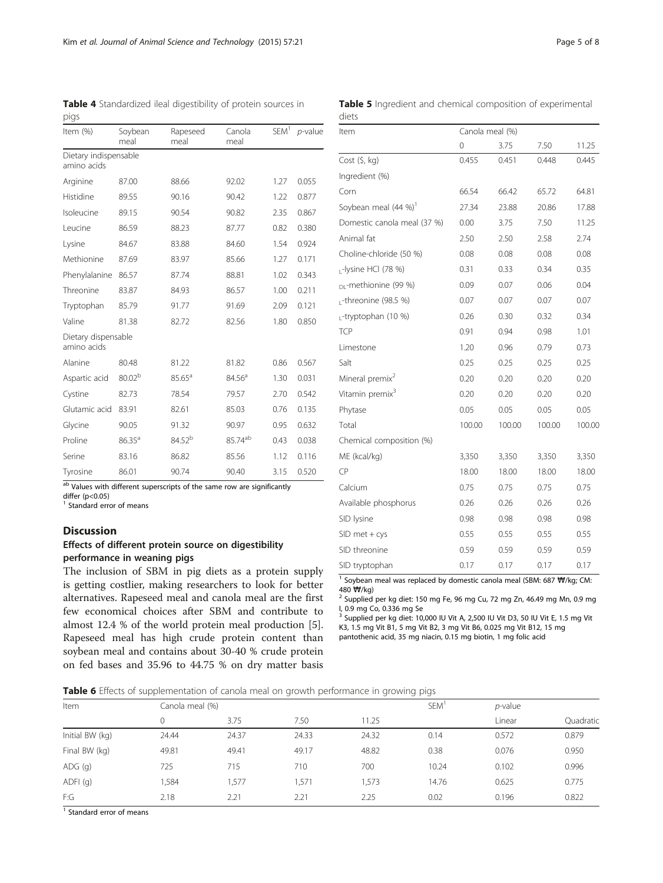<span id="page-4-0"></span>Table 4 Standardized ileal digestibility of protein sources in pigs

| Item (%)                             | Soybean<br>meal    | Rapeseed<br>meal   | Canola<br>meal      | SEM <sup>1</sup> | $p$ -value |
|--------------------------------------|--------------------|--------------------|---------------------|------------------|------------|
| Dietary indispensable<br>amino acids |                    |                    |                     |                  |            |
| Arginine                             | 87.00              | 88.66              | 92.02               | 1.27             | 0.055      |
| Histidine                            | 89.55              | 90.16              | 90.42               | 1.22             | 0.877      |
| Isoleucine                           | 89.15              | 90.54              | 90.82               | 2.35             | 0.867      |
| Leucine                              | 86.59              | 88.23              | 87.77               | 0.82             | 0.380      |
| Lysine                               | 84.67              | 83.88              | 84.60               | 1.54             | 0.924      |
| Methionine                           | 87.69              | 83.97              | 85.66               | 1.27             | 0.171      |
| Phenylalanine                        | 86.57              | 87.74              | 88.81               | 1.02             | 0.343      |
| Threonine                            | 83.87              | 84.93              | 86.57               | 1.00             | 0.211      |
| Tryptophan                           | 85.79              | 91.77              | 91.69               | 2.09             | 0.121      |
| Valine                               | 81.38              | 82.72              | 82.56               | 1.80             | 0.850      |
| Dietary dispensable<br>amino acids   |                    |                    |                     |                  |            |
| Alanine                              | 80.48              | 81.22              | 81.82               | 0.86             | 0.567      |
| Aspartic acid                        | 80.02 <sup>b</sup> | $85.65^{\text{a}}$ | 84.56 <sup>a</sup>  | 1.30             | 0.031      |
| Cystine                              | 82.73              | 78.54              | 79.57               | 2.70             | 0.542      |
| Glutamic acid                        | 83.91              | 82.61              | 85.03               | 0.76             | 0.135      |
| Glycine                              | 90.05              | 91.32              | 90.97               | 0.95             | 0.632      |
| Proline                              | $86.35^{\circ}$    | 84.52 <sup>b</sup> | 85.74 <sup>ab</sup> | 0.43             | 0.038      |
| Serine                               | 83.16              | 86.82              | 85.56               | 1.12             | 0.116      |
| Tyrosine                             | 86.01              | 90.74              | 90.40               | 3.15             | 0.520      |

ab Values with different superscripts of the same row are significantly

differ (p<0.05)

<sup>1</sup> Standard error of means

# Discussion

# Effects of different protein source on digestibility performance in weaning pigs

The inclusion of SBM in pig diets as a protein supply is getting costlier, making researchers to look for better alternatives. Rapeseed meal and canola meal are the first few economical choices after SBM and contribute to almost 12.4 % of the world protein meal production [\[5](#page-6-0)]. Rapeseed meal has high crude protein content than soybean meal and contains about 30-40 % crude protein on fed bases and 35.96 to 44.75 % on dry matter basis

|       |  |  | <b>Table 5</b> Ingredient and chemical composition of experimental |  |
|-------|--|--|--------------------------------------------------------------------|--|
| diets |  |  |                                                                    |  |

| Item                             | Canola meal (%) |        |        |        |
|----------------------------------|-----------------|--------|--------|--------|
|                                  | 0               | 3.75   | 7.50   | 11.25  |
| $Cost($ \$, kg)                  | 0.455           | 0.451  | 0.448  | 0.445  |
| Ingredient (%)                   |                 |        |        |        |
| Corn                             | 66.54           | 66.42  | 65.72  | 64.81  |
| Soybean meal (44 %)              | 27.34           | 23.88  | 20.86  | 17.88  |
| Domestic canola meal (37 %)      | 0.00            | 3.75   | 7.50   | 11.25  |
| Animal fat                       | 2.50            | 2.50   | 2.58   | 2.74   |
| Choline-chloride (50 %)          | 0.08            | 0.08   | 0.08   | 0.08   |
| -lysine HCl (78 %)               | 0.31            | 0.33   | 0.34   | 0.35   |
| <sub>DI</sub> -methionine (99 %) | 0.09            | 0.07   | 0.06   | 0.04   |
| L-threonine (98.5 %)             | 0.07            | 0.07   | 0.07   | 0.07   |
| -tryptophan (10 %)               | 0.26            | 0.30   | 0.32   | 0.34   |
| TCP                              | 0.91            | 0.94   | 0.98   | 1.01   |
| Limestone                        | 1.20            | 0.96   | 0.79   | 0.73   |
| Salt                             | 0.25            | 0.25   | 0.25   | 0.25   |
| Mineral premix <sup>2</sup>      | 0.20            | 0.20   | 0.20   | 0.20   |
| Vitamin premix <sup>3</sup>      | 0.20            | 0.20   | 0.20   | 0.20   |
| Phytase                          | 0.05            | 0.05   | 0.05   | 0.05   |
| Total                            | 100.00          | 100.00 | 100.00 | 100.00 |
| Chemical composition (%)         |                 |        |        |        |
| ME (kcal/kg)                     | 3,350           | 3,350  | 3,350  | 3,350  |
| <b>CP</b>                        | 18.00           | 18.00  | 18.00  | 18.00  |
| Calcium                          | 0.75            | 0.75   | 0.75   | 0.75   |
| Available phosphorus             | 0.26            | 0.26   | 0.26   | 0.26   |
| SID lysine                       | 0.98            | 0.98   | 0.98   | 0.98   |
| $SID$ met + cys                  | 0.55            | 0.55   | 0.55   | 0.55   |
| SID threonine                    | 0.59            | 0.59   | 0.59   | 0.59   |
| SID tryptophan                   | 0.17            | 0.17   | 0.17   | 0.17   |

<sup>1</sup> Soybean meal was replaced by domestic canola meal (SBM: 687  $\mathbf{\overline{W}}/$ kg; CM: 480  $\mathbf{\overline{W}}/$ kg)

<sup>2</sup> Supplied per kg diet: 150 mg Fe, 96 mg Cu, 72 mg Zn, 46.49 mg Mn, 0.9 mg I, 0.9 mg Co, 0.336 mg Se

<sup>3</sup> Supplied per kg diet: 10,000 IU Vit A, 2,500 IU Vit D3, 50 IU Vit E, 1.5 mg Vit K3, 1.5 mg Vit B1, 5 mg Vit B2, 3 mg Vit B6, 0.025 mg Vit B12, 15 mg pantothenic acid, 35 mg niacin, 0.15 mg biotin, 1 mg folic acid

| Table 6 Effects of supplementation of canola meal on growth performance in growing pigs |  |  |
|-----------------------------------------------------------------------------------------|--|--|

| Item            |       | Canola meal (%) |       |       |       | <i>p</i> -value |           |
|-----------------|-------|-----------------|-------|-------|-------|-----------------|-----------|
|                 |       | 3.75            | 7.50  | 11.25 |       | Linear          | Quadratic |
| Initial BW (kg) | 24.44 | 24.37           | 24.33 | 24.32 | 0.14  | 0.572           | 0.879     |
| Final BW (kg)   | 49.81 | 49.41           | 49.17 | 48.82 | 0.38  | 0.076           | 0.950     |
| $ADG$ $(q)$     | 725   | 715             | 710   | 700   | 10.24 | 0.102           | 0.996     |
| ADFI(q)         | 1,584 | 1,577           | ,571  | 1,573 | 14.76 | 0.625           | 0.775     |
| F:G             | 2.18  | 2.21            | 2.21  | 2.25  | 0.02  | 0.196           | 0.822     |

 $\overline{1}$  Standard error of means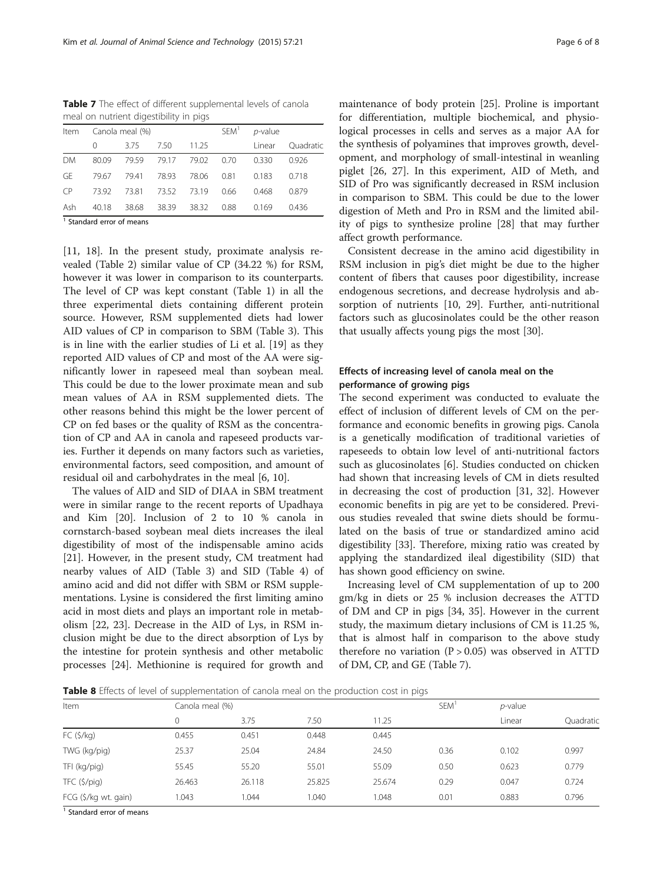<span id="page-5-0"></span>Table 7 The effect of different supplemental levels of canola meal on nutrient digestibility in pigs

| Item                               |       | Canola meal (%) |             |       | SEM <sup>1</sup> | $p$ -value |           |
|------------------------------------|-------|-----------------|-------------|-------|------------------|------------|-----------|
|                                    | 0     | 375             | 7.50        | 11.25 |                  | Linear     | Quadratic |
| <b>DM</b>                          | 80.09 | 79.59           | 79.17       | 79.02 | 0.70             | 0.330      | 0.926     |
| GE                                 | 79.67 | 79.41           | 78.93       | 78.06 | 0.81             | 0.183      | 0.718     |
| CP                                 | 7392  | 73.81           | 73.52 73.19 |       | 0.66             | 0.468      | 0.879     |
| Ash                                | 40.18 | 38.68           | 38.39       | 38.32 | 0.88             | 0.169      | 0.436     |
| $\sim$ $\sim$ $\sim$ $\sim$ $\sim$ |       |                 |             |       |                  |            |           |

<sup>1</sup> Standard error of means

[[11, 18](#page-6-0)]. In the present study, proximate analysis revealed (Table [2\)](#page-3-0) similar value of CP (34.22 %) for RSM, however it was lower in comparison to its counterparts. The level of CP was kept constant (Table [1](#page-2-0)) in all the three experimental diets containing different protein source. However, RSM supplemented diets had lower AID values of CP in comparison to SBM (Table [3\)](#page-3-0). This is in line with the earlier studies of Li et al. [[19\]](#page-6-0) as they reported AID values of CP and most of the AA were significantly lower in rapeseed meal than soybean meal. This could be due to the lower proximate mean and sub mean values of AA in RSM supplemented diets. The other reasons behind this might be the lower percent of CP on fed bases or the quality of RSM as the concentration of CP and AA in canola and rapeseed products varies. Further it depends on many factors such as varieties, environmental factors, seed composition, and amount of residual oil and carbohydrates in the meal [\[6, 10\]](#page-6-0).

The values of AID and SID of DIAA in SBM treatment were in similar range to the recent reports of Upadhaya and Kim [[20\]](#page-6-0). Inclusion of 2 to 10 % canola in cornstarch-based soybean meal diets increases the ileal digestibility of most of the indispensable amino acids [[21\]](#page-6-0). However, in the present study, CM treatment had nearby values of AID (Table [3](#page-3-0)) and SID (Table [4](#page-4-0)) of amino acid and did not differ with SBM or RSM supplementations. Lysine is considered the first limiting amino acid in most diets and plays an important role in metabolism [[22, 23\]](#page-6-0). Decrease in the AID of Lys, in RSM inclusion might be due to the direct absorption of Lys by the intestine for protein synthesis and other metabolic processes [\[24\]](#page-6-0). Methionine is required for growth and

maintenance of body protein [\[25](#page-6-0)]. Proline is important for differentiation, multiple biochemical, and physiological processes in cells and serves as a major AA for the synthesis of polyamines that improves growth, development, and morphology of small-intestinal in weanling piglet [\[26](#page-6-0), [27](#page-6-0)]. In this experiment, AID of Meth, and SID of Pro was significantly decreased in RSM inclusion in comparison to SBM. This could be due to the lower digestion of Meth and Pro in RSM and the limited ability of pigs to synthesize proline [[28\]](#page-7-0) that may further affect growth performance.

Consistent decrease in the amino acid digestibility in RSM inclusion in pig's diet might be due to the higher content of fibers that causes poor digestibility, increase endogenous secretions, and decrease hydrolysis and absorption of nutrients [[10,](#page-6-0) [29\]](#page-7-0). Further, anti-nutritional factors such as glucosinolates could be the other reason that usually affects young pigs the most [\[30](#page-7-0)].

# Effects of increasing level of canola meal on the performance of growing pigs

The second experiment was conducted to evaluate the effect of inclusion of different levels of CM on the performance and economic benefits in growing pigs. Canola is a genetically modification of traditional varieties of rapeseeds to obtain low level of anti-nutritional factors such as glucosinolates [[6\]](#page-6-0). Studies conducted on chicken had shown that increasing levels of CM in diets resulted in decreasing the cost of production [[31](#page-7-0), [32](#page-7-0)]. However economic benefits in pig are yet to be considered. Previous studies revealed that swine diets should be formulated on the basis of true or standardized amino acid digestibility [\[33\]](#page-7-0). Therefore, mixing ratio was created by applying the standardized ileal digestibility (SID) that has shown good efficiency on swine.

Increasing level of CM supplementation of up to 200 gm/kg in diets or 25 % inclusion decreases the ATTD of DM and CP in pigs [[34](#page-7-0), [35\]](#page-7-0). However in the current study, the maximum dietary inclusions of CM is 11.25 %, that is almost half in comparison to the above study therefore no variation  $(P > 0.05)$  was observed in ATTD of DM, CP, and GE (Table 7).

**Table 8** Effects of level of supplementation of canola meal on the production cost in pigs

| Item                 |        | Canola meal (%) |        |        |      | $p$ -value |           |
|----------------------|--------|-----------------|--------|--------|------|------------|-----------|
|                      |        | 3.75            | 7.50   | 11.25  |      | Linear     | Quadratic |
| FC(5/kg)             | 0.455  | 0.451           | 0.448  | 0.445  |      |            |           |
| TWG (kg/pig)         | 25.37  | 25.04           | 24.84  | 24.50  | 0.36 | 0.102      | 0.997     |
| TFI (kg/pig)         | 55.45  | 55.20           | 55.01  | 55.09  | 0.50 | 0.623      | 0.779     |
| $TFC$ (\$/pig)       | 26.463 | 26.118          | 25.825 | 25.674 | 0.29 | 0.047      | 0.724     |
| FCG (\$/kg wt. gain) | 1.043  | 0.044           | 1.040  | 1.048  | 0.01 | 0.883      | 0.796     |

<sup>1</sup> Standard error of means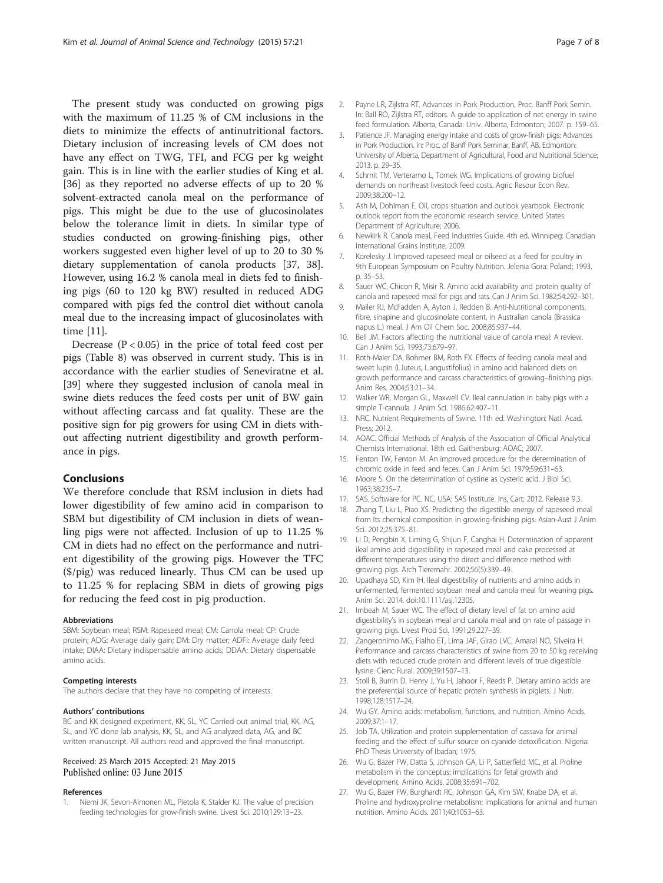<span id="page-6-0"></span>The present study was conducted on growing pigs with the maximum of 11.25 % of CM inclusions in the diets to minimize the effects of antinutritional factors. Dietary inclusion of increasing levels of CM does not have any effect on TWG, TFI, and FCG per kg weight gain. This is in line with the earlier studies of King et al. [[36\]](#page-7-0) as they reported no adverse effects of up to 20 % solvent-extracted canola meal on the performance of pigs. This might be due to the use of glucosinolates below the tolerance limit in diets. In similar type of studies conducted on growing-finishing pigs, other workers suggested even higher level of up to 20 to 30 % dietary supplementation of canola products [\[37](#page-7-0), [38](#page-7-0)]. However, using 16.2 % canola meal in diets fed to finishing pigs (60 to 120 kg BW) resulted in reduced ADG compared with pigs fed the control diet without canola meal due to the increasing impact of glucosinolates with time [11].

Decrease  $(P < 0.05)$  in the price of total feed cost per pigs (Table [8\)](#page-5-0) was observed in current study. This is in accordance with the earlier studies of Seneviratne et al. [[39\]](#page-7-0) where they suggested inclusion of canola meal in swine diets reduces the feed costs per unit of BW gain without affecting carcass and fat quality. These are the positive sign for pig growers for using CM in diets without affecting nutrient digestibility and growth performance in pigs.

# Conclusions

We therefore conclude that RSM inclusion in diets had lower digestibility of few amino acid in comparison to SBM but digestibility of CM inclusion in diets of weanling pigs were not affected. Inclusion of up to 11.25 % CM in diets had no effect on the performance and nutrient digestibility of the growing pigs. However the TFC (\$/pig) was reduced linearly. Thus CM can be used up to 11.25 % for replacing SBM in diets of growing pigs for reducing the feed cost in pig production.

#### Abbreviations

SBM: Soybean meal; RSM: Rapeseed meal; CM: Canola meal; CP: Crude protein; ADG: Average daily gain; DM: Dry matter; ADFI: Average daily feed intake; DIAA: Dietary indispensable amino acids; DDAA: Dietary dispensable amino acids.

#### Competing interests

The authors declare that they have no competing of interests.

#### Authors' contributions

BC and KK designed experiment, KK, SL, YC Carried out animal trial, KK, AG, SL, and YC done lab analysis, KK, SL, and AG analyzed data, AG, and BC written manuscript. All authors read and approved the final manuscript.

# Received: 25 March 2015 Accepted: 21 May 2015 Published online: 03 June 2015

#### References

1. Niemi JK, Sevon-Aimonen ML, Pietola K, Stalder KJ. The value of precision feeding technologies for grow-finish swine. Livest Sci. 2010;129:13–23.

- 2. Payne LR, Zijlstra RT. Advances in Pork Production, Proc. Banff Pork Semin. In: Ball RO, Zijlstra RT, editors. A guide to application of net energy in swine feed formulation. Alberta, Canada: Univ. Alberta, Edmonton; 2007. p. 159–65.
- 3. Patience JF. Managing energy intake and costs of grow-finish pigs: Advances in Pork Production. In: Proc. of Banff Pork Seminar, Banff, AB. Edmonton: University of Alberta, Department of Agricultural, Food and Nutritional Science; 2013. p. 29–35.
- 4. Schmit TM, Verteramo L, Tomek WG. Implications of growing biofuel demands on northeast livestock feed costs. Agric Resour Econ Rev. 2009;38:200–12.
- Ash M, Dohlman E. Oil, crops situation and outlook yearbook. Electronic outlook report from the economic research service. United States: Department of Agriculture; 2006.
- 6. Newkirk R. Canola meal, Feed Industries Guide. 4th ed. Winnipeg: Canadian International Grains Institute; 2009.
- 7. Korelesky J. Improved rapeseed meal or oilseed as a feed for poultry in 9th European Symposium on Poultry Nutrition. Jelenia Gora: Poland; 1993. p. 35–53.
- 8. Sauer WC, Chicon R, Misir R. Amino acid availability and protein quality of canola and rapeseed meal for pigs and rats. Can J Anim Sci. 1982;54:292–301.
- 9. Mailer RJ, McFadden A, Ayton J, Redden B. Anti-Nutritional components, fibre, sinapine and glucosinolate content, in Australian canola (Brassica napus L.) meal. J Am Oil Chem Soc. 2008;85:937–44.
- 10. Bell JM. Factors affecting the nutritional value of canola meal: A review. Can J Anim Sci. 1993;73:679–97.
- 11. Roth-Maier DA, Bohmer BM, Roth FX. Effects of feeding canola meal and sweet lupin (L.luteus, L.angustifolius) in amino acid balanced diets on growth performance and carcass characteristics of growing–finishing pigs. Anim Res. 2004;53:21–34.
- 12. Walker WR, Morgan GL, Maxwell CV. Ileal cannulation in baby pigs with a simple T-cannula. J Anim Sci. 1986;62:407–11.
- 13. NRC. Nutrient Requirements of Swine. 11th ed. Washington: Natl. Acad. Press; 2012.
- 14. AOAC. Official Methods of Analysis of the Association of Official Analytical Chemists International. 18th ed. Gaithersburg: AOAC; 2007.
- 15. Fenton TW, Fenton M. An improved procedure for the determination of chromic oxide in feed and feces. Can J Anim Sci. 1979;59:631–63.
- 16. Moore S. On the determination of cystine as cysteric acid. J Biol Sci. 1963;38:235–7.
- 17. SAS. Software for PC. NC, USA: SAS Institute. Ins, Cart; 2012. Release 9.3.
- 18. Zhang T, Liu L, Piao XS. Predicting the digestible energy of rapeseed meal from Its chemical composition in growing-finishing pigs. Asian-Aust J Anim Sci. 2012;25:375–81.
- 19. Li D, Pengbin X, Liming G, Shijun F, Canghai H. Determination of apparent ileal amino acid digestibility in rapeseed meal and cake processed at different temperatures using the direct and difference method with growing pigs. Arch Tierernahr. 2002;56(5):339–49.
- 20. Upadhaya SD, Kim IH. Ileal digestibility of nutrients and amino acids in unfermented, fermented soybean meal and canola meal for weaning pigs. Anim Sci. 2014. doi:10.1111/asj.12305.
- 21. Imbeah M, Sauer WC. The effect of dietary level of fat on amino acid digestibility's in soybean meal and canola meal and on rate of passage in growing pigs. Livest Prod Sci. 1991;29:227–39.
- Zangeronimo MG, Fialho ET, Lima JAF, Girao LVC, Amaral NO, Silveira H. Performance and carcass characteristics of swine from 20 to 50 kg receiving diets with reduced crude protein and different levels of true digestible lysine. Cienc Rural. 2009;39:1507–13.
- 23. Stoll B, Burrin D, Henry J, Yu H, Jahoor F, Reeds P. Dietary amino acids are the preferential source of hepatic protein synthesis in piglets. J Nutr. 1998;128:1517–24.
- 24. Wu GY. Amino acids: metabolism, functions, and nutrition. Amino Acids. 2009;37:1–17.
- 25. Job TA. Utilization and protein supplementation of cassava for animal feeding and the effect of sulfur source on cyanide detoxification. Nigeria: PhD Thesis University of Ibadan; 1975.
- 26. Wu G, Bazer FW, Datta S, Johnson GA, Li P, Satterfield MC, et al. Proline metabolism in the conceptus: implications for fetal growth and development. Amino Acids. 2008;35:691–702.
- 27. Wu G, Bazer FW, Burghardt RC, Johnson GA, Kim SW, Knabe DA, et al. Proline and hydroxyproline metabolism: implications for animal and human nutrition. Amino Acids. 2011;40:1053–63.